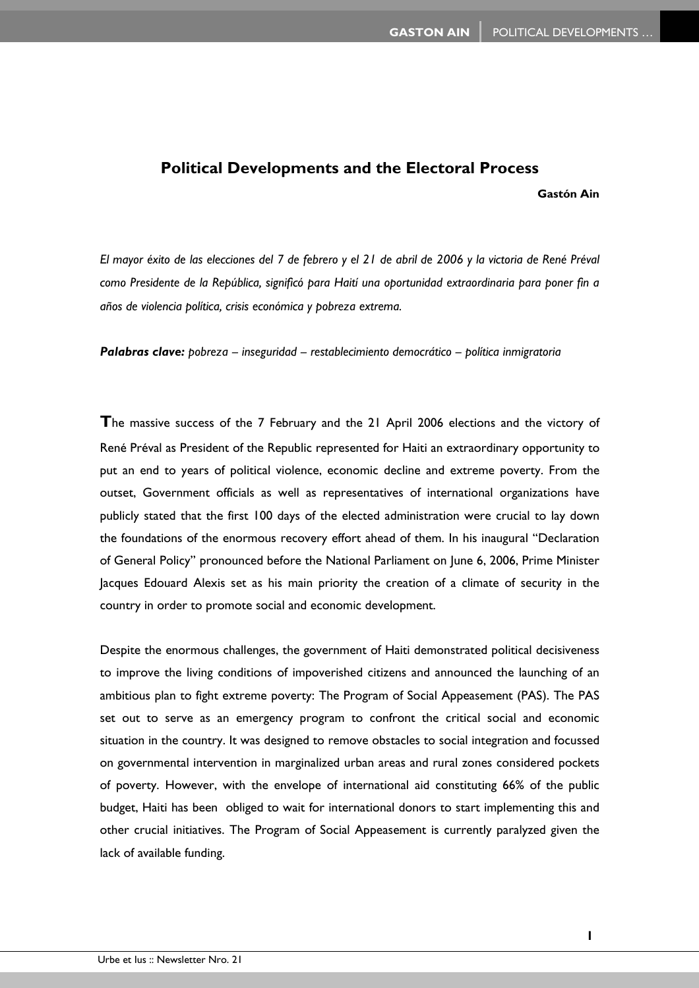## **Political Developments and the Electoral Process**

**Gastón Ain** 

*El mayor éxito de las elecciones del 7 de febrero y el 21 de abril de 2006 y la victoria de René Préval como Presidente de la República, significó para Haití una oportunidad extraordinaria para poner fin a años de violencia política, crisis económica y pobreza extrema.* 

*Palabras clave: pobreza – inseguridad – restablecimiento democrático – política inmigratoria* 

**T**he massive success of the 7 February and the 21 April 2006 elections and the victory of René Préval as President of the Republic represented for Haiti an extraordinary opportunity to put an end to years of political violence, economic decline and extreme poverty. From the outset, Government officials as well as representatives of international organizations have publicly stated that the first 100 days of the elected administration were crucial to lay down the foundations of the enormous recovery effort ahead of them. In his inaugural "Declaration of General Policy" pronounced before the National Parliament on June 6, 2006, Prime Minister Jacques Edouard Alexis set as his main priority the creation of a climate of security in the country in order to promote social and economic development.

Despite the enormous challenges, the government of Haiti demonstrated political decisiveness to improve the living conditions of impoverished citizens and announced the launching of an ambitious plan to fight extreme poverty: The Program of Social Appeasement (PAS). The PAS set out to serve as an emergency program to confront the critical social and economic situation in the country. It was designed to remove obstacles to social integration and focussed on governmental intervention in marginalized urban areas and rural zones considered pockets of poverty. However, with the envelope of international aid constituting 66% of the public budget, Haiti has been obliged to wait for international donors to start implementing this and other crucial initiatives. The Program of Social Appeasement is currently paralyzed given the lack of available funding.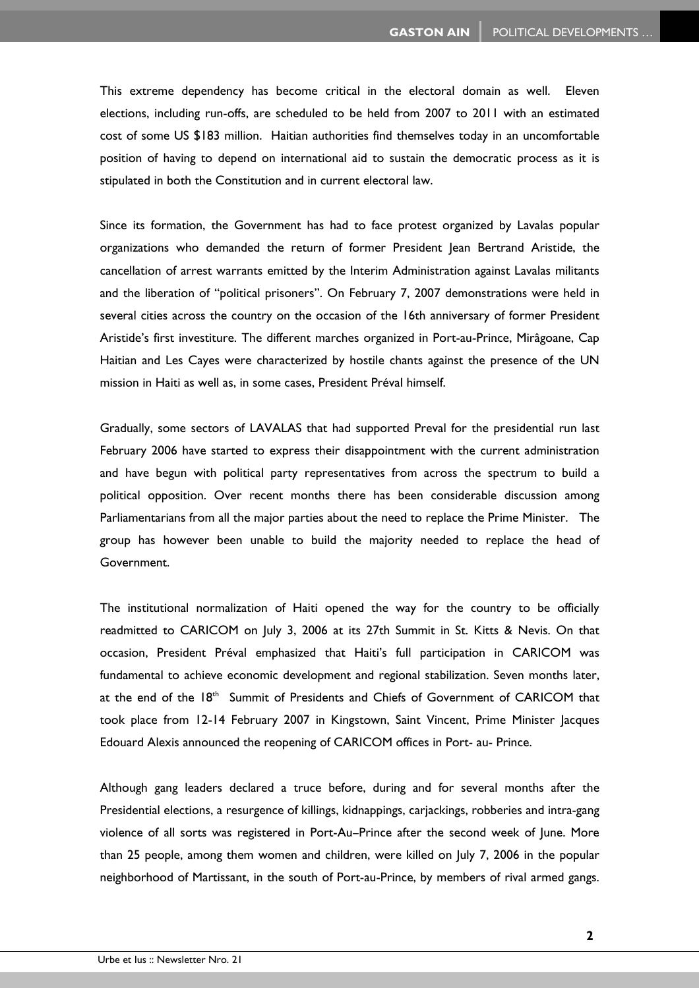This extreme dependency has become critical in the electoral domain as well. Eleven elections, including run-offs, are scheduled to be held from 2007 to 2011 with an estimated cost of some US \$183 million. Haitian authorities find themselves today in an uncomfortable position of having to depend on international aid to sustain the democratic process as it is stipulated in both the Constitution and in current electoral law.

Since its formation, the Government has had to face protest organized by Lavalas popular organizations who demanded the return of former President Jean Bertrand Aristide, the cancellation of arrest warrants emitted by the Interim Administration against Lavalas militants and the liberation of "political prisoners". On February 7, 2007 demonstrations were held in several cities across the country on the occasion of the 16th anniversary of former President Aristide's first investiture. The different marches organized in Port-au-Prince, Mirâgoane, Cap Haitian and Les Cayes were characterized by hostile chants against the presence of the UN mission in Haiti as well as, in some cases, President Préval himself.

Gradually, some sectors of LAVALAS that had supported Preval for the presidential run last February 2006 have started to express their disappointment with the current administration and have begun with political party representatives from across the spectrum to build a political opposition. Over recent months there has been considerable discussion among Parliamentarians from all the major parties about the need to replace the Prime Minister. The group has however been unable to build the majority needed to replace the head of Government.

The institutional normalization of Haiti opened the way for the country to be officially readmitted to CARICOM on July 3, 2006 at its 27th Summit in St. Kitts & Nevis. On that occasion, President Préval emphasized that Haiti's full participation in CARICOM was fundamental to achieve economic development and regional stabilization. Seven months later, at the end of the 18<sup>th</sup> Summit of Presidents and Chiefs of Government of CARICOM that took place from 12-14 February 2007 in Kingstown, Saint Vincent, Prime Minister Jacques Edouard Alexis announced the reopening of CARICOM offices in Port- au- Prince.

Although gang leaders declared a truce before, during and for several months after the Presidential elections, a resurgence of killings, kidnappings, carjackings, robberies and intra-gang violence of all sorts was registered in Port-Au–Prince after the second week of June. More than 25 people, among them women and children, were killed on July 7, 2006 in the popular neighborhood of Martissant, in the south of Port-au-Prince, by members of rival armed gangs.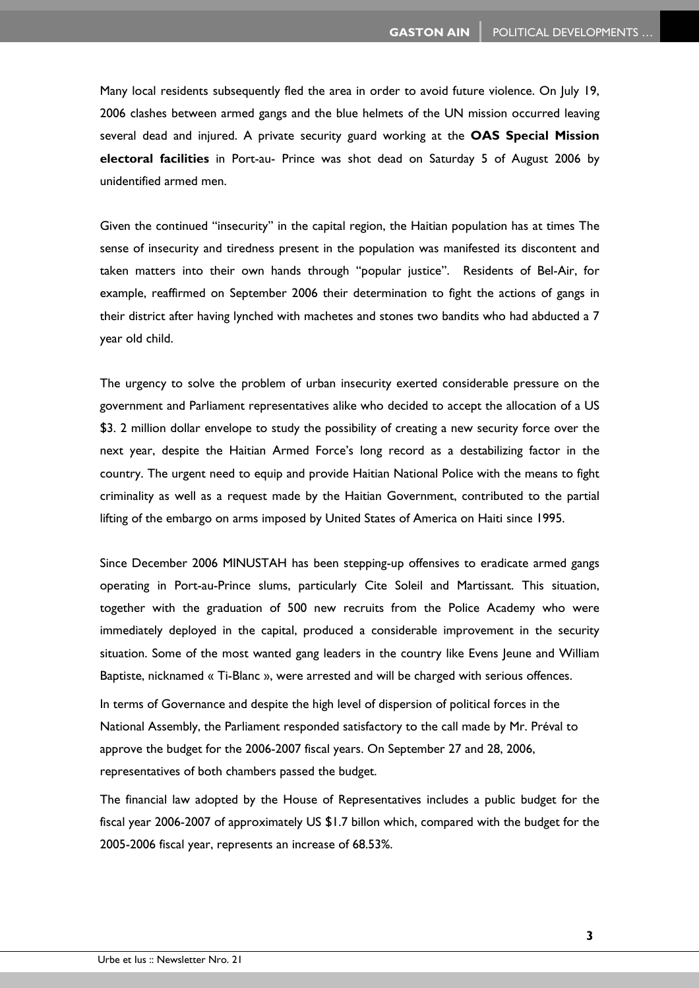Many local residents subsequently fled the area in order to avoid future violence. On July 19, 2006 clashes between armed gangs and the blue helmets of the UN mission occurred leaving several dead and injured. A private security guard working at the **OAS Special Mission electoral facilities** in Port-au- Prince was shot dead on Saturday 5 of August 2006 by unidentified armed men.

Given the continued "insecurity" in the capital region, the Haitian population has at times The sense of insecurity and tiredness present in the population was manifested its discontent and taken matters into their own hands through "popular justice". Residents of Bel-Air, for example, reaffirmed on September 2006 their determination to fight the actions of gangs in their district after having lynched with machetes and stones two bandits who had abducted a 7 year old child.

The urgency to solve the problem of urban insecurity exerted considerable pressure on the government and Parliament representatives alike who decided to accept the allocation of a US \$3. 2 million dollar envelope to study the possibility of creating a new security force over the next year, despite the Haitian Armed Force's long record as a destabilizing factor in the country. The urgent need to equip and provide Haitian National Police with the means to fight criminality as well as a request made by the Haitian Government, contributed to the partial lifting of the embargo on arms imposed by United States of America on Haiti since 1995.

Since December 2006 MINUSTAH has been stepping-up offensives to eradicate armed gangs operating in Port-au-Prince slums, particularly Cite Soleil and Martissant. This situation, together with the graduation of 500 new recruits from the Police Academy who were immediately deployed in the capital, produced a considerable improvement in the security situation. Some of the most wanted gang leaders in the country like Evens Jeune and William Baptiste, nicknamed « Ti-Blanc », were arrested and will be charged with serious offences.

In terms of Governance and despite the high level of dispersion of political forces in the National Assembly, the Parliament responded satisfactory to the call made by Mr. Préval to approve the budget for the 2006-2007 fiscal years. On September 27 and 28, 2006, representatives of both chambers passed the budget.

The financial law adopted by the House of Representatives includes a public budget for the fiscal year 2006-2007 of approximately US \$1.7 billon which, compared with the budget for the 2005-2006 fiscal year, represents an increase of 68.53%.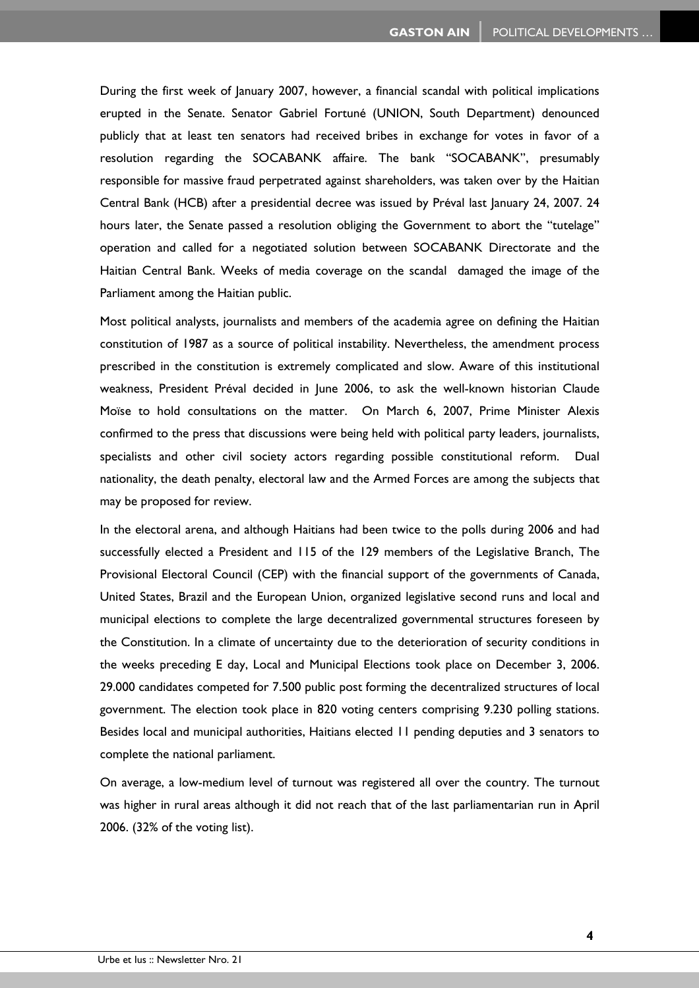During the first week of January 2007, however, a financial scandal with political implications erupted in the Senate. Senator Gabriel Fortuné (UNION, South Department) denounced publicly that at least ten senators had received bribes in exchange for votes in favor of a resolution regarding the SOCABANK affaire. The bank "SOCABANK", presumably responsible for massive fraud perpetrated against shareholders, was taken over by the Haitian Central Bank (HCB) after a presidential decree was issued by Préval last January 24, 2007. 24 hours later, the Senate passed a resolution obliging the Government to abort the "tutelage" operation and called for a negotiated solution between SOCABANK Directorate and the Haitian Central Bank. Weeks of media coverage on the scandal damaged the image of the Parliament among the Haitian public.

Most political analysts, journalists and members of the academia agree on defining the Haitian constitution of 1987 as a source of political instability. Nevertheless, the amendment process prescribed in the constitution is extremely complicated and slow. Aware of this institutional weakness, President Préval decided in June 2006, to ask the well-known historian Claude Moïse to hold consultations on the matter. On March 6, 2007, Prime Minister Alexis confirmed to the press that discussions were being held with political party leaders, journalists, specialists and other civil society actors regarding possible constitutional reform. Dual nationality, the death penalty, electoral law and the Armed Forces are among the subjects that may be proposed for review.

In the electoral arena, and although Haitians had been twice to the polls during 2006 and had successfully elected a President and 115 of the 129 members of the Legislative Branch, The Provisional Electoral Council (CEP) with the financial support of the governments of Canada, United States, Brazil and the European Union, organized legislative second runs and local and municipal elections to complete the large decentralized governmental structures foreseen by the Constitution. In a climate of uncertainty due to the deterioration of security conditions in the weeks preceding E day, Local and Municipal Elections took place on December 3, 2006. 29.000 candidates competed for 7.500 public post forming the decentralized structures of local government. The election took place in 820 voting centers comprising 9.230 polling stations. Besides local and municipal authorities, Haitians elected 11 pending deputies and 3 senators to complete the national parliament.

On average, a low-medium level of turnout was registered all over the country. The turnout was higher in rural areas although it did not reach that of the last parliamentarian run in April 2006. (32% of the voting list).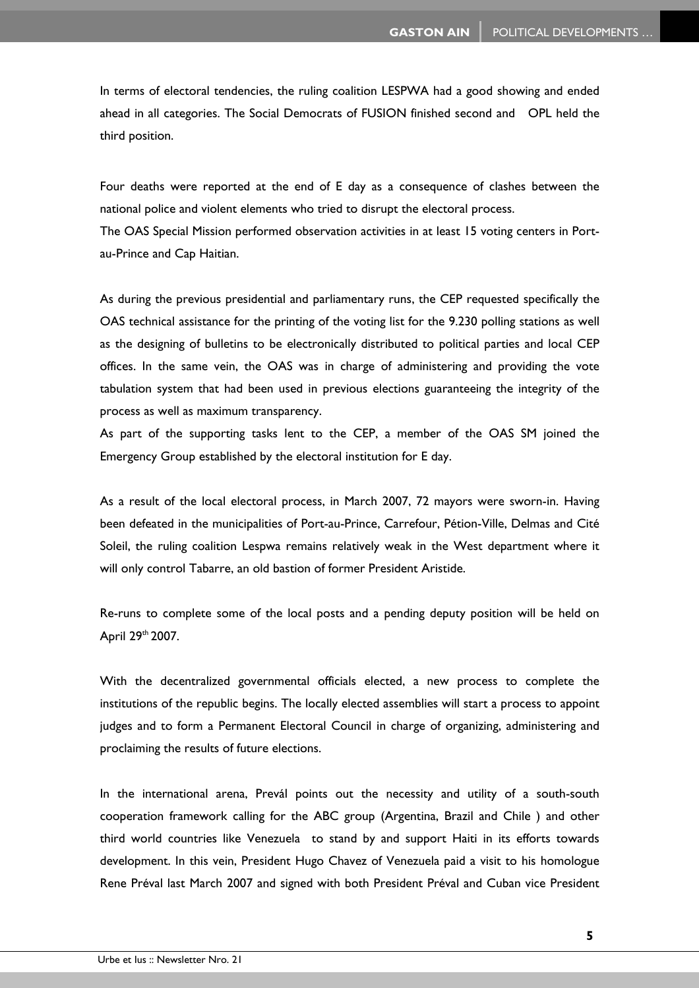In terms of electoral tendencies, the ruling coalition LESPWA had a good showing and ended ahead in all categories. The Social Democrats of FUSION finished second and OPL held the third position.

Four deaths were reported at the end of E day as a consequence of clashes between the national police and violent elements who tried to disrupt the electoral process.

The OAS Special Mission performed observation activities in at least 15 voting centers in Portau-Prince and Cap Haitian.

As during the previous presidential and parliamentary runs, the CEP requested specifically the OAS technical assistance for the printing of the voting list for the 9.230 polling stations as well as the designing of bulletins to be electronically distributed to political parties and local CEP offices. In the same vein, the OAS was in charge of administering and providing the vote tabulation system that had been used in previous elections guaranteeing the integrity of the process as well as maximum transparency.

As part of the supporting tasks lent to the CEP, a member of the OAS SM joined the Emergency Group established by the electoral institution for E day.

As a result of the local electoral process, in March 2007, 72 mayors were sworn-in. Having been defeated in the municipalities of Port-au-Prince, Carrefour, Pétion-Ville, Delmas and Cité Soleil, the ruling coalition Lespwa remains relatively weak in the West department where it will only control Tabarre, an old bastion of former President Aristide.

Re-runs to complete some of the local posts and a pending deputy position will be held on April 29th 2007.

With the decentralized governmental officials elected, a new process to complete the institutions of the republic begins. The locally elected assemblies will start a process to appoint judges and to form a Permanent Electoral Council in charge of organizing, administering and proclaiming the results of future elections.

In the international arena, Prevál points out the necessity and utility of a south-south cooperation framework calling for the ABC group (Argentina, Brazil and Chile ) and other third world countries like Venezuela to stand by and support Haiti in its efforts towards development. In this vein, President Hugo Chavez of Venezuela paid a visit to his homologue Rene Préval last March 2007 and signed with both President Préval and Cuban vice President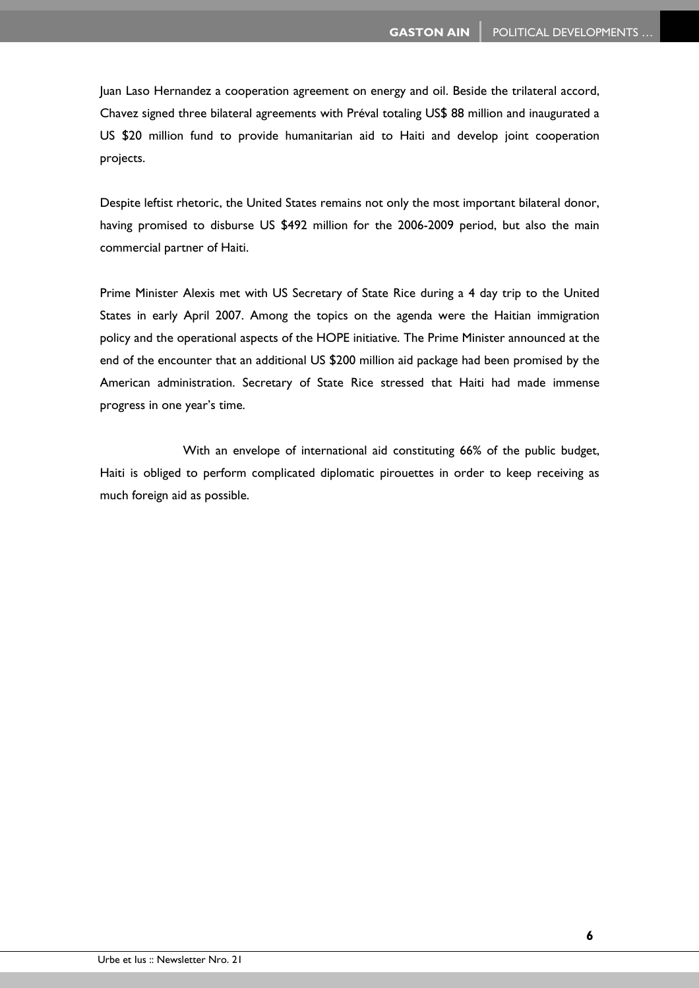Juan Laso Hernandez a cooperation agreement on energy and oil. Beside the trilateral accord, Chavez signed three bilateral agreements with Préval totaling US\$ 88 million and inaugurated a US \$20 million fund to provide humanitarian aid to Haiti and develop joint cooperation projects.

Despite leftist rhetoric, the United States remains not only the most important bilateral donor, having promised to disburse US \$492 million for the 2006-2009 period, but also the main commercial partner of Haiti.

Prime Minister Alexis met with US Secretary of State Rice during a 4 day trip to the United States in early April 2007. Among the topics on the agenda were the Haitian immigration policy and the operational aspects of the HOPE initiative. The Prime Minister announced at the end of the encounter that an additional US \$200 million aid package had been promised by the American administration. Secretary of State Rice stressed that Haiti had made immense progress in one year's time.

 With an envelope of international aid constituting 66% of the public budget, Haiti is obliged to perform complicated diplomatic pirouettes in order to keep receiving as much foreign aid as possible.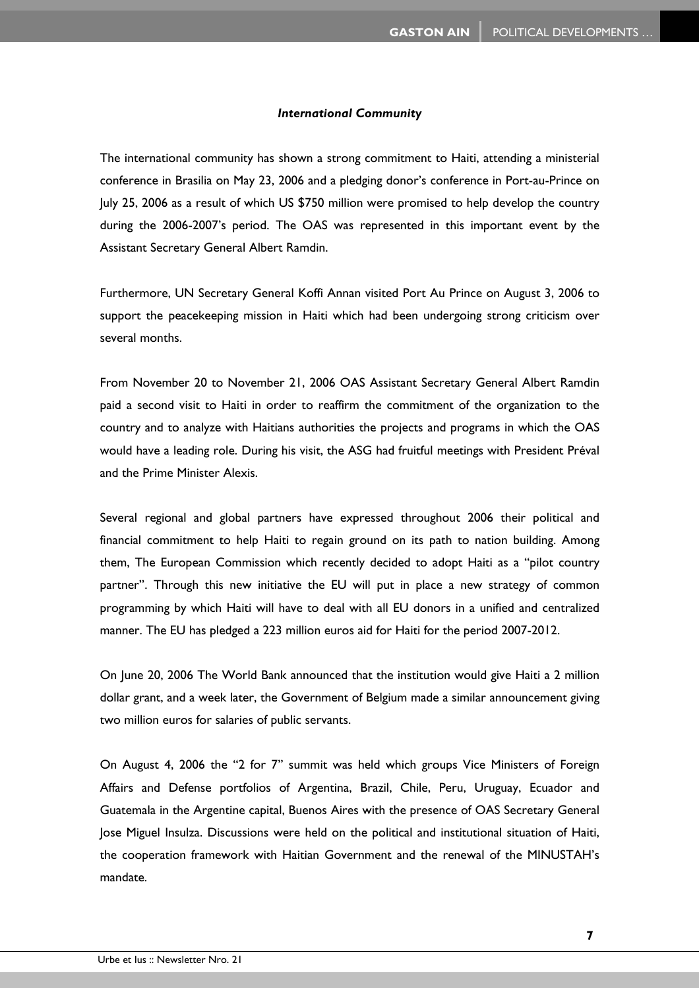## *International Community*

The international community has shown a strong commitment to Haiti, attending a ministerial conference in Brasilia on May 23, 2006 and a pledging donor's conference in Port-au-Prince on July 25, 2006 as a result of which US \$750 million were promised to help develop the country during the 2006-2007's period. The OAS was represented in this important event by the Assistant Secretary General Albert Ramdin.

Furthermore, UN Secretary General Koffi Annan visited Port Au Prince on August 3, 2006 to support the peacekeeping mission in Haiti which had been undergoing strong criticism over several months.

From November 20 to November 21, 2006 OAS Assistant Secretary General Albert Ramdin paid a second visit to Haiti in order to reaffirm the commitment of the organization to the country and to analyze with Haitians authorities the projects and programs in which the OAS would have a leading role. During his visit, the ASG had fruitful meetings with President Préval and the Prime Minister Alexis.

Several regional and global partners have expressed throughout 2006 their political and financial commitment to help Haiti to regain ground on its path to nation building. Among them, The European Commission which recently decided to adopt Haiti as a "pilot country partner". Through this new initiative the EU will put in place a new strategy of common programming by which Haiti will have to deal with all EU donors in a unified and centralized manner. The EU has pledged a 223 million euros aid for Haiti for the period 2007-2012.

On June 20, 2006 The World Bank announced that the institution would give Haiti a 2 million dollar grant, and a week later, the Government of Belgium made a similar announcement giving two million euros for salaries of public servants.

On August 4, 2006 the "2 for 7" summit was held which groups Vice Ministers of Foreign Affairs and Defense portfolios of Argentina, Brazil, Chile, Peru, Uruguay, Ecuador and Guatemala in the Argentine capital, Buenos Aires with the presence of OAS Secretary General Jose Miguel Insulza. Discussions were held on the political and institutional situation of Haiti, the cooperation framework with Haitian Government and the renewal of the MINUSTAH's mandate.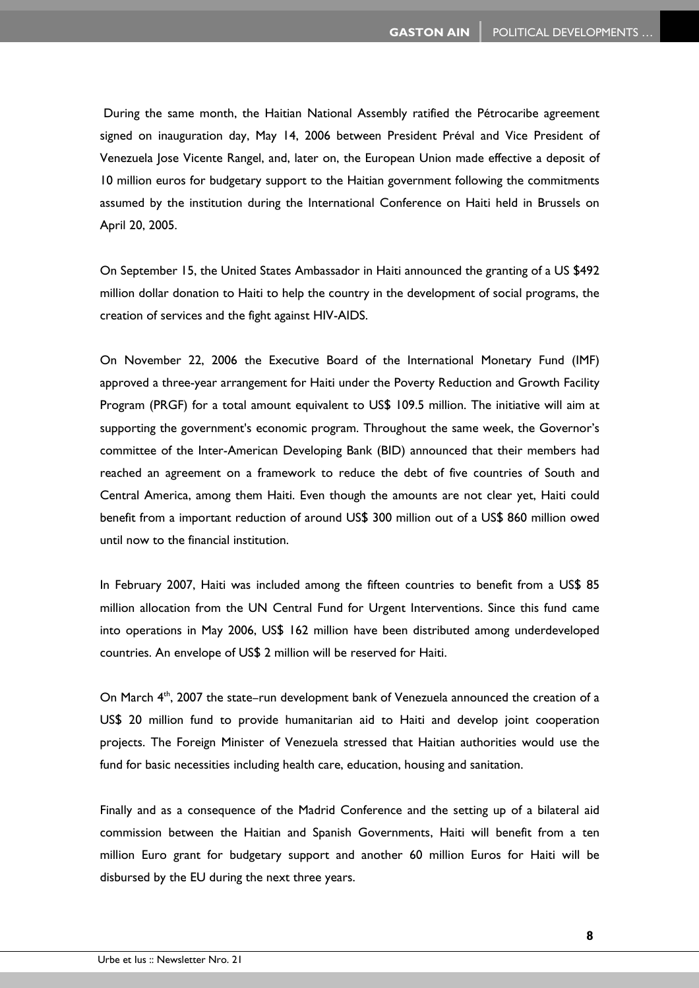During the same month, the Haitian National Assembly ratified the Pétrocaribe agreement signed on inauguration day, May 14, 2006 between President Préval and Vice President of Venezuela Jose Vicente Rangel, and, later on, the European Union made effective a deposit of 10 million euros for budgetary support to the Haitian government following the commitments assumed by the institution during the International Conference on Haiti held in Brussels on April 20, 2005.

On September 15, the United States Ambassador in Haiti announced the granting of a US \$492 million dollar donation to Haiti to help the country in the development of social programs, the creation of services and the fight against HIV-AIDS.

On November 22, 2006 the Executive Board of the International Monetary Fund (IMF) approved a three-year arrangement for Haiti under the Poverty Reduction and Growth Facility Program (PRGF) for a total amount equivalent to US\$ 109.5 million. The initiative will aim at supporting the government's economic program. Throughout the same week, the Governor's committee of the Inter-American Developing Bank (BID) announced that their members had reached an agreement on a framework to reduce the debt of five countries of South and Central America, among them Haiti. Even though the amounts are not clear yet, Haiti could benefit from a important reduction of around US\$ 300 million out of a US\$ 860 million owed until now to the financial institution.

In February 2007, Haiti was included among the fifteen countries to benefit from a US\$ 85 million allocation from the UN Central Fund for Urgent Interventions. Since this fund came into operations in May 2006, US\$ 162 million have been distributed among underdeveloped countries. An envelope of US\$ 2 million will be reserved for Haiti.

On March 4<sup>th</sup>, 2007 the state–run development bank of Venezuela announced the creation of a US\$ 20 million fund to provide humanitarian aid to Haiti and develop joint cooperation projects. The Foreign Minister of Venezuela stressed that Haitian authorities would use the fund for basic necessities including health care, education, housing and sanitation.

Finally and as a consequence of the Madrid Conference and the setting up of a bilateral aid commission between the Haitian and Spanish Governments, Haiti will benefit from a ten million Euro grant for budgetary support and another 60 million Euros for Haiti will be disbursed by the EU during the next three years.